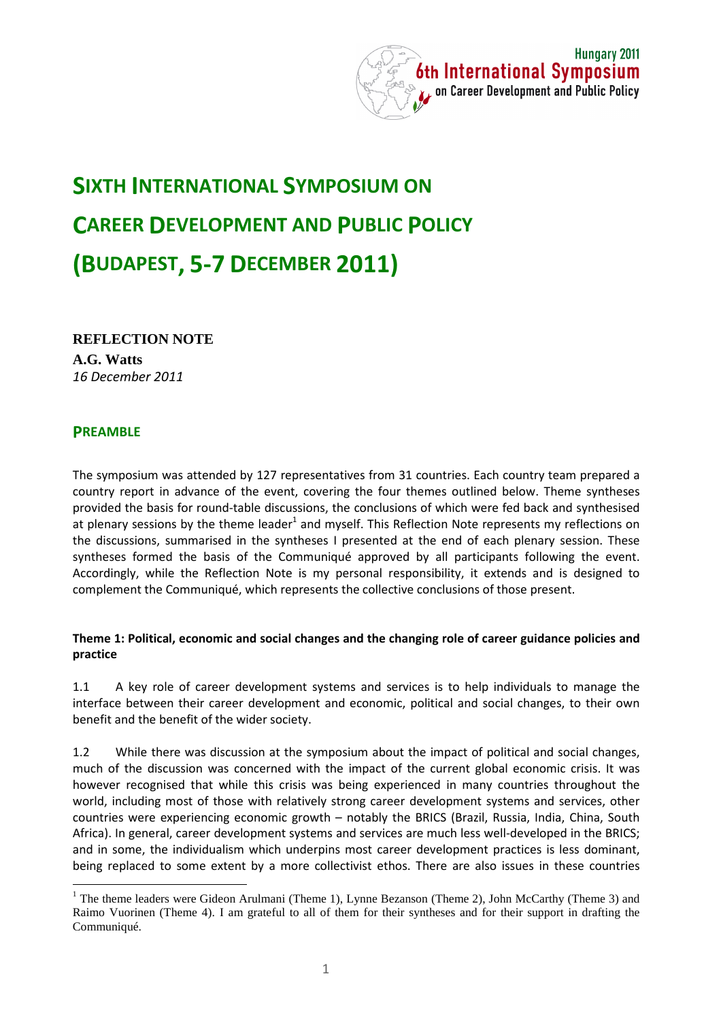

# **SIXTH INTERNATIONAL SYMPOSIUM ON CAREER DEVELOPMENT AND PUBLIC POLICY (BUDAPEST, 5-7 DECEMBER 2011)**

**REFLECTION NOTE**

**A.G. Watts**  *16 December 2011* 

## **PREAMBLE**

 $\overline{a}$ 

The symposium was attended by 127 representatives from 31 countries. Each country team prepared a country report in advance of the event, covering the four themes outlined below. Theme syntheses provided the basis for round-table discussions, the conclusions of which were fed back and synthesised at plenary sessions by the theme leader<sup>1</sup> and myself. This Reflection Note represents my reflections on the discussions, summarised in the syntheses I presented at the end of each plenary session. These syntheses formed the basis of the Communiqué approved by all participants following the event. Accordingly, while the Reflection Note is my personal responsibility, it extends and is designed to complement the Communiqué, which represents the collective conclusions of those present.

#### **Theme 1: Political, economic and social changes and the changing role of career guidance policies and practice**

1.1 A key role of career development systems and services is to help individuals to manage the interface between their career development and economic, political and social changes, to their own benefit and the benefit of the wider society.

1.2 While there was discussion at the symposium about the impact of political and social changes, much of the discussion was concerned with the impact of the current global economic crisis. It was however recognised that while this crisis was being experienced in many countries throughout the world, including most of those with relatively strong career development systems and services, other countries were experiencing economic growth – notably the BRICS (Brazil, Russia, India, China, South Africa). In general, career development systems and services are much less well-developed in the BRICS; and in some, the individualism which underpins most career development practices is less dominant, being replaced to some extent by a more collectivist ethos. There are also issues in these countries

<sup>&</sup>lt;sup>1</sup> The theme leaders were Gideon Arulmani (Theme 1), Lynne Bezanson (Theme 2), John McCarthy (Theme 3) and Raimo Vuorinen (Theme 4). I am grateful to all of them for their syntheses and for their support in drafting the Communiqué.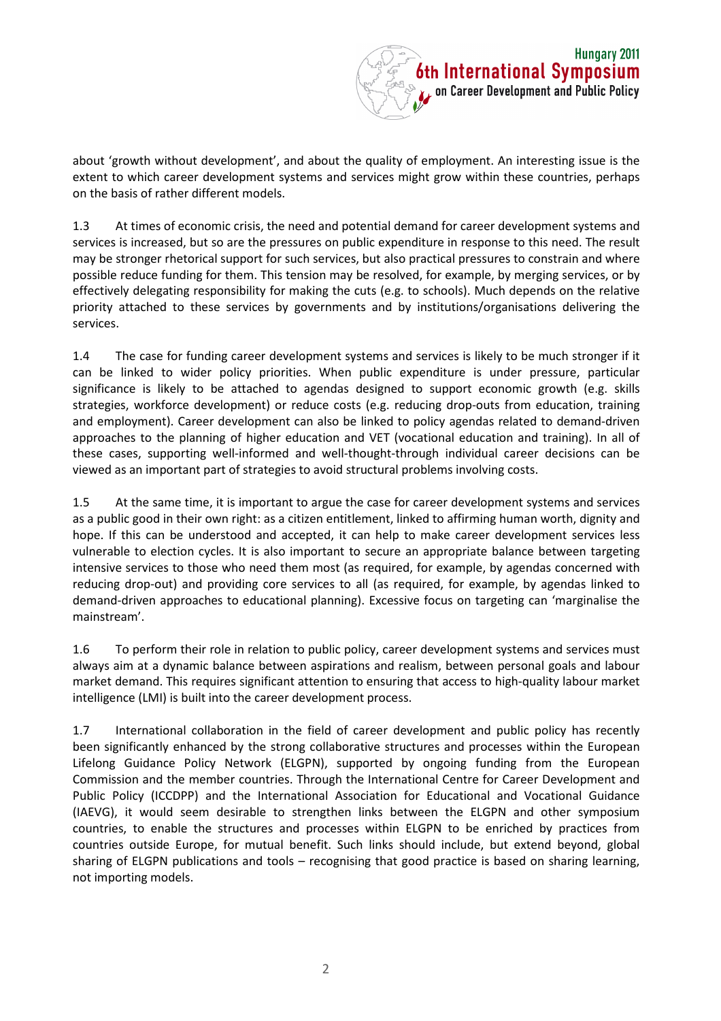

about 'growth without development', and about the quality of employment. An interesting issue is the extent to which career development systems and services might grow within these countries, perhaps on the basis of rather different models.

1.3 At times of economic crisis, the need and potential demand for career development systems and services is increased, but so are the pressures on public expenditure in response to this need. The result may be stronger rhetorical support for such services, but also practical pressures to constrain and where possible reduce funding for them. This tension may be resolved, for example, by merging services, or by effectively delegating responsibility for making the cuts (e.g. to schools). Much depends on the relative priority attached to these services by governments and by institutions/organisations delivering the services.

1.4 The case for funding career development systems and services is likely to be much stronger if it can be linked to wider policy priorities. When public expenditure is under pressure, particular significance is likely to be attached to agendas designed to support economic growth (e.g. skills strategies, workforce development) or reduce costs (e.g. reducing drop-outs from education, training and employment). Career development can also be linked to policy agendas related to demand-driven approaches to the planning of higher education and VET (vocational education and training). In all of these cases, supporting well-informed and well-thought-through individual career decisions can be viewed as an important part of strategies to avoid structural problems involving costs.

1.5 At the same time, it is important to argue the case for career development systems and services as a public good in their own right: as a citizen entitlement, linked to affirming human worth, dignity and hope. If this can be understood and accepted, it can help to make career development services less vulnerable to election cycles. It is also important to secure an appropriate balance between targeting intensive services to those who need them most (as required, for example, by agendas concerned with reducing drop-out) and providing core services to all (as required, for example, by agendas linked to demand-driven approaches to educational planning). Excessive focus on targeting can 'marginalise the mainstream'.

1.6 To perform their role in relation to public policy, career development systems and services must always aim at a dynamic balance between aspirations and realism, between personal goals and labour market demand. This requires significant attention to ensuring that access to high-quality labour market intelligence (LMI) is built into the career development process.

1.7 International collaboration in the field of career development and public policy has recently been significantly enhanced by the strong collaborative structures and processes within the European Lifelong Guidance Policy Network (ELGPN), supported by ongoing funding from the European Commission and the member countries. Through the International Centre for Career Development and Public Policy (ICCDPP) and the International Association for Educational and Vocational Guidance (IAEVG), it would seem desirable to strengthen links between the ELGPN and other symposium countries, to enable the structures and processes within ELGPN to be enriched by practices from countries outside Europe, for mutual benefit. Such links should include, but extend beyond, global sharing of ELGPN publications and tools – recognising that good practice is based on sharing learning, not importing models.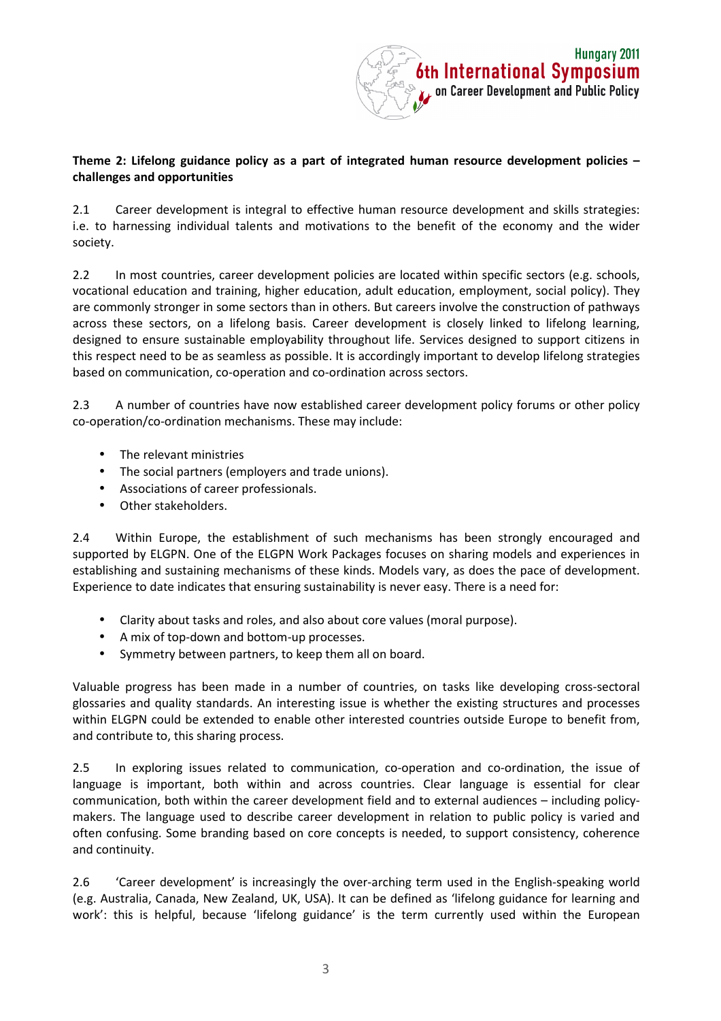

### **Theme 2: Lifelong guidance policy as a part of integrated human resource development policies – challenges and opportunities**

2.1 Career development is integral to effective human resource development and skills strategies: i.e. to harnessing individual talents and motivations to the benefit of the economy and the wider society.

2.2 In most countries, career development policies are located within specific sectors (e.g. schools, vocational education and training, higher education, adult education, employment, social policy). They are commonly stronger in some sectors than in others. But careers involve the construction of pathways across these sectors, on a lifelong basis. Career development is closely linked to lifelong learning, designed to ensure sustainable employability throughout life. Services designed to support citizens in this respect need to be as seamless as possible. It is accordingly important to develop lifelong strategies based on communication, co-operation and co-ordination across sectors.

2.3 A number of countries have now established career development policy forums or other policy co-operation/co-ordination mechanisms. These may include:

- The relevant ministries
- The social partners (employers and trade unions).
- Associations of career professionals.
- Other stakeholders.

2.4 Within Europe, the establishment of such mechanisms has been strongly encouraged and supported by ELGPN. One of the ELGPN Work Packages focuses on sharing models and experiences in establishing and sustaining mechanisms of these kinds. Models vary, as does the pace of development. Experience to date indicates that ensuring sustainability is never easy. There is a need for:

- Clarity about tasks and roles, and also about core values (moral purpose).
- A mix of top-down and bottom-up processes.
- Symmetry between partners, to keep them all on board.

Valuable progress has been made in a number of countries, on tasks like developing cross-sectoral glossaries and quality standards. An interesting issue is whether the existing structures and processes within ELGPN could be extended to enable other interested countries outside Europe to benefit from, and contribute to, this sharing process.

2.5 In exploring issues related to communication, co-operation and co-ordination, the issue of language is important, both within and across countries. Clear language is essential for clear communication, both within the career development field and to external audiences – including policymakers. The language used to describe career development in relation to public policy is varied and often confusing. Some branding based on core concepts is needed, to support consistency, coherence and continuity.

2.6 'Career development' is increasingly the over-arching term used in the English-speaking world (e.g. Australia, Canada, New Zealand, UK, USA). It can be defined as 'lifelong guidance for learning and work': this is helpful, because 'lifelong guidance' is the term currently used within the European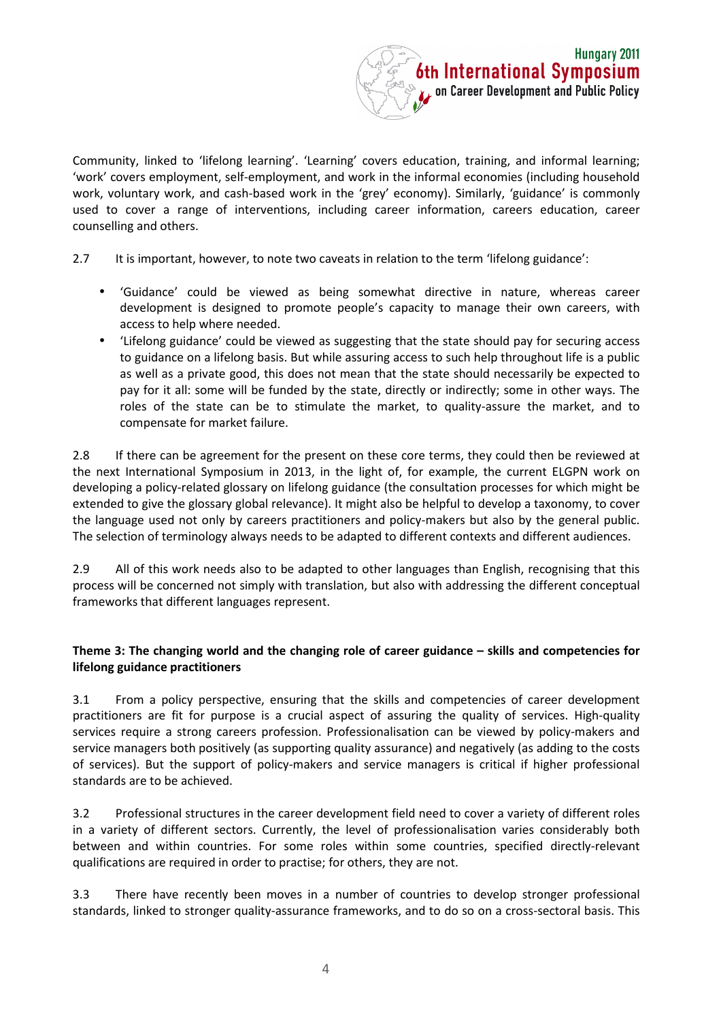

Community, linked to 'lifelong learning'. 'Learning' covers education, training, and informal learning; 'work' covers employment, self-employment, and work in the informal economies (including household work, voluntary work, and cash-based work in the 'grey' economy). Similarly, 'guidance' is commonly used to cover a range of interventions, including career information, careers education, career counselling and others.

- 2.7 It is important, however, to note two caveats in relation to the term 'lifelong guidance':
	- 'Guidance' could be viewed as being somewhat directive in nature, whereas career development is designed to promote people's capacity to manage their own careers, with access to help where needed.
	- 'Lifelong guidance' could be viewed as suggesting that the state should pay for securing access to guidance on a lifelong basis. But while assuring access to such help throughout life is a public as well as a private good, this does not mean that the state should necessarily be expected to pay for it all: some will be funded by the state, directly or indirectly; some in other ways. The roles of the state can be to stimulate the market, to quality-assure the market, and to compensate for market failure.

2.8 If there can be agreement for the present on these core terms, they could then be reviewed at the next International Symposium in 2013, in the light of, for example, the current ELGPN work on developing a policy-related glossary on lifelong guidance (the consultation processes for which might be extended to give the glossary global relevance). It might also be helpful to develop a taxonomy, to cover the language used not only by careers practitioners and policy-makers but also by the general public. The selection of terminology always needs to be adapted to different contexts and different audiences.

2.9 All of this work needs also to be adapted to other languages than English, recognising that this process will be concerned not simply with translation, but also with addressing the different conceptual frameworks that different languages represent.

## **Theme 3: The changing world and the changing role of career guidance – skills and competencies for lifelong guidance practitioners**

3.1 From a policy perspective, ensuring that the skills and competencies of career development practitioners are fit for purpose is a crucial aspect of assuring the quality of services. High-quality services require a strong careers profession. Professionalisation can be viewed by policy-makers and service managers both positively (as supporting quality assurance) and negatively (as adding to the costs of services). But the support of policy-makers and service managers is critical if higher professional standards are to be achieved.

3.2 Professional structures in the career development field need to cover a variety of different roles in a variety of different sectors. Currently, the level of professionalisation varies considerably both between and within countries. For some roles within some countries, specified directly-relevant qualifications are required in order to practise; for others, they are not.

3.3 There have recently been moves in a number of countries to develop stronger professional standards, linked to stronger quality-assurance frameworks, and to do so on a cross-sectoral basis. This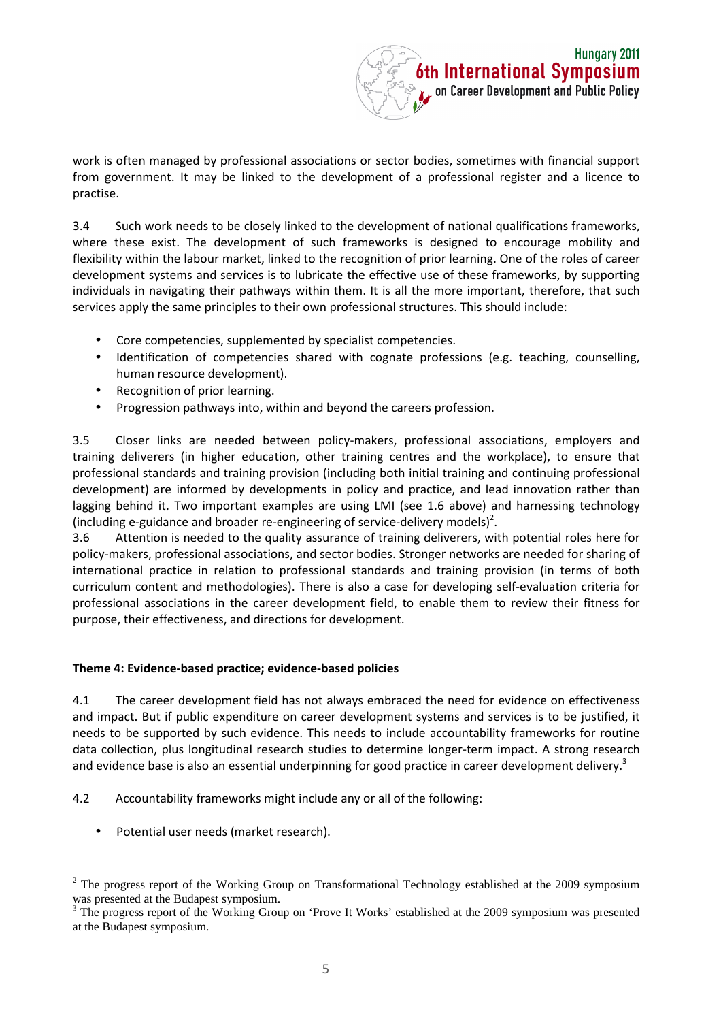

work is often managed by professional associations or sector bodies, sometimes with financial support from government. It may be linked to the development of a professional register and a licence to practise.

3.4 Such work needs to be closely linked to the development of national qualifications frameworks, where these exist. The development of such frameworks is designed to encourage mobility and flexibility within the labour market, linked to the recognition of prior learning. One of the roles of career development systems and services is to lubricate the effective use of these frameworks, by supporting individuals in navigating their pathways within them. It is all the more important, therefore, that such services apply the same principles to their own professional structures. This should include:

- Core competencies, supplemented by specialist competencies.
- Identification of competencies shared with cognate professions (e.g. teaching, counselling, human resource development).
- Recognition of prior learning.
- Progression pathways into, within and beyond the careers profession.

3.5 Closer links are needed between policy-makers, professional associations, employers and training deliverers (in higher education, other training centres and the workplace), to ensure that professional standards and training provision (including both initial training and continuing professional development) are informed by developments in policy and practice, and lead innovation rather than lagging behind it. Two important examples are using LMI (see 1.6 above) and harnessing technology (including e-guidance and broader re-engineering of service-delivery models)<sup>2</sup>.

3.6 Attention is needed to the quality assurance of training deliverers, with potential roles here for policy-makers, professional associations, and sector bodies. Stronger networks are needed for sharing of international practice in relation to professional standards and training provision (in terms of both curriculum content and methodologies). There is also a case for developing self-evaluation criteria for professional associations in the career development field, to enable them to review their fitness for purpose, their effectiveness, and directions for development.

## **Theme 4: Evidence-based practice; evidence-based policies**

4.1 The career development field has not always embraced the need for evidence on effectiveness and impact. But if public expenditure on career development systems and services is to be justified, it needs to be supported by such evidence. This needs to include accountability frameworks for routine data collection, plus longitudinal research studies to determine longer-term impact. A strong research and evidence base is also an essential underpinning for good practice in career development delivery.<sup>3</sup>

4.2 Accountability frameworks might include any or all of the following:

Potential user needs (market research).

 $\overline{a}$ 2 The progress report of the Working Group on Transformational Technology established at the 2009 symposium was presented at the Budapest symposium.

<sup>3</sup> The progress report of the Working Group on 'Prove It Works' established at the 2009 symposium was presented at the Budapest symposium.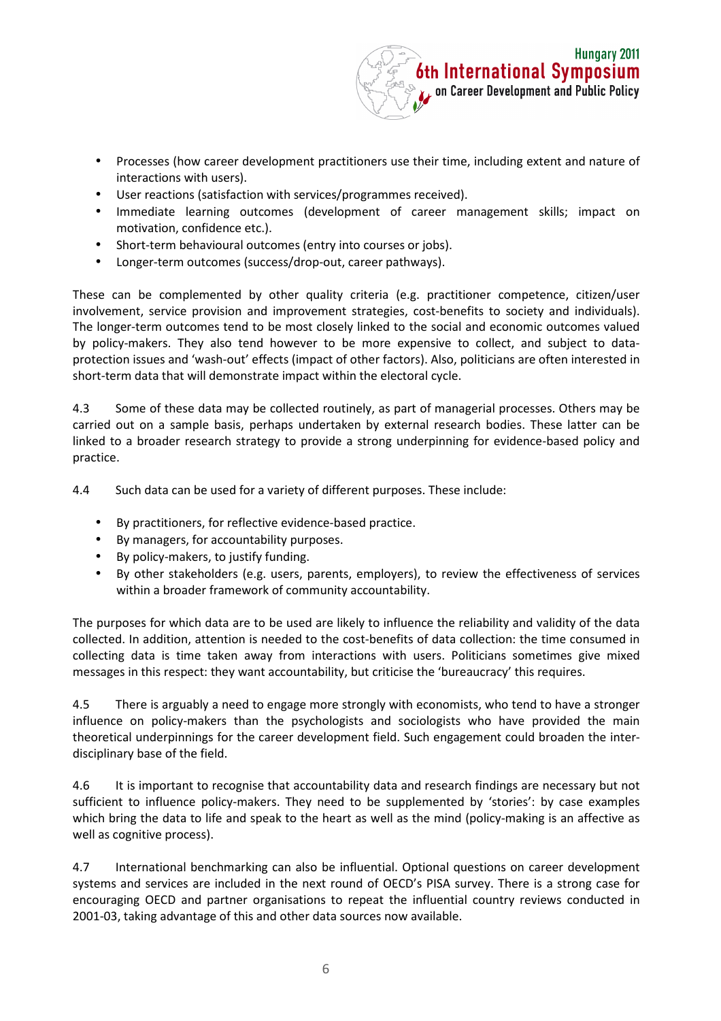

- Processes (how career development practitioners use their time, including extent and nature of interactions with users).
- User reactions (satisfaction with services/programmes received).
- Immediate learning outcomes (development of career management skills; impact on motivation, confidence etc.).
- Short-term behavioural outcomes (entry into courses or jobs).
- Longer-term outcomes (success/drop-out, career pathways).

These can be complemented by other quality criteria (e.g. practitioner competence, citizen/user involvement, service provision and improvement strategies, cost-benefits to society and individuals). The longer-term outcomes tend to be most closely linked to the social and economic outcomes valued by policy-makers. They also tend however to be more expensive to collect, and subject to dataprotection issues and 'wash-out' effects (impact of other factors). Also, politicians are often interested in short-term data that will demonstrate impact within the electoral cycle.

4.3 Some of these data may be collected routinely, as part of managerial processes. Others may be carried out on a sample basis, perhaps undertaken by external research bodies. These latter can be linked to a broader research strategy to provide a strong underpinning for evidence-based policy and practice.

4.4 Such data can be used for a variety of different purposes. These include:

- By practitioners, for reflective evidence-based practice.
- By managers, for accountability purposes.
- By policy-makers, to justify funding.
- By other stakeholders (e.g. users, parents, employers), to review the effectiveness of services within a broader framework of community accountability.

The purposes for which data are to be used are likely to influence the reliability and validity of the data collected. In addition, attention is needed to the cost-benefits of data collection: the time consumed in collecting data is time taken away from interactions with users. Politicians sometimes give mixed messages in this respect: they want accountability, but criticise the 'bureaucracy' this requires.

4.5 There is arguably a need to engage more strongly with economists, who tend to have a stronger influence on policy-makers than the psychologists and sociologists who have provided the main theoretical underpinnings for the career development field. Such engagement could broaden the interdisciplinary base of the field.

4.6 It is important to recognise that accountability data and research findings are necessary but not sufficient to influence policy-makers. They need to be supplemented by 'stories': by case examples which bring the data to life and speak to the heart as well as the mind (policy-making is an affective as well as cognitive process).

4.7 International benchmarking can also be influential. Optional questions on career development systems and services are included in the next round of OECD's PISA survey. There is a strong case for encouraging OECD and partner organisations to repeat the influential country reviews conducted in 2001-03, taking advantage of this and other data sources now available.